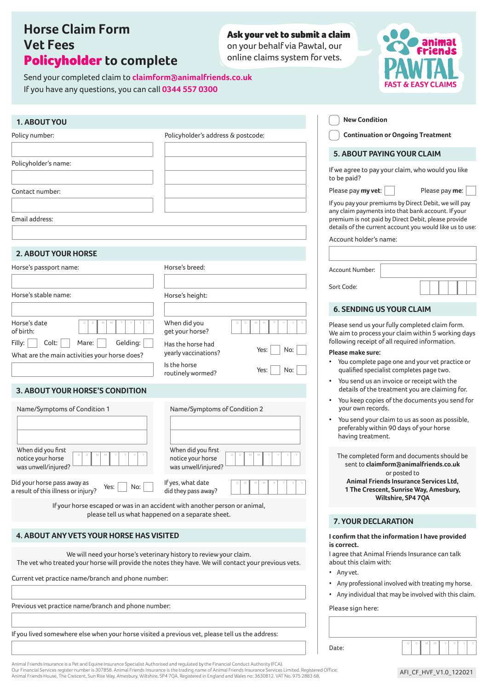# **Horse Claim Form Vet Fees** Policyholder **to complete**

Send your completed claim to **claimform@animalfriends.co.uk** 

If you have any questions, you can call **0344 557 0300**

Ask your vet to submit a claim on your behalf via Pawtal, our

online claims system for vets.



| 1. ABOUT YOU                                                                                                                                                                                                                                                                                                                                 |                                                                                                                                                                                                                                                                                                                                                                                                                                  | <b>New Condition</b>                                                                                                                                                                                                                                                                                                                                                                                                                                                                                                                                                                                                                                                                                                                                                                                              |
|----------------------------------------------------------------------------------------------------------------------------------------------------------------------------------------------------------------------------------------------------------------------------------------------------------------------------------------------|----------------------------------------------------------------------------------------------------------------------------------------------------------------------------------------------------------------------------------------------------------------------------------------------------------------------------------------------------------------------------------------------------------------------------------|-------------------------------------------------------------------------------------------------------------------------------------------------------------------------------------------------------------------------------------------------------------------------------------------------------------------------------------------------------------------------------------------------------------------------------------------------------------------------------------------------------------------------------------------------------------------------------------------------------------------------------------------------------------------------------------------------------------------------------------------------------------------------------------------------------------------|
| Policy number:                                                                                                                                                                                                                                                                                                                               | Policyholder's address & postcode:                                                                                                                                                                                                                                                                                                                                                                                               | <b>Continuation or Ongoing Treatment</b>                                                                                                                                                                                                                                                                                                                                                                                                                                                                                                                                                                                                                                                                                                                                                                          |
|                                                                                                                                                                                                                                                                                                                                              |                                                                                                                                                                                                                                                                                                                                                                                                                                  | 5. ABOUT PAYING YOUR CLAIM                                                                                                                                                                                                                                                                                                                                                                                                                                                                                                                                                                                                                                                                                                                                                                                        |
| Policyholder's name:                                                                                                                                                                                                                                                                                                                         |                                                                                                                                                                                                                                                                                                                                                                                                                                  | If we agree to pay your claim, who would you like<br>to be paid?                                                                                                                                                                                                                                                                                                                                                                                                                                                                                                                                                                                                                                                                                                                                                  |
| Contact number:                                                                                                                                                                                                                                                                                                                              |                                                                                                                                                                                                                                                                                                                                                                                                                                  | Please pay my vet:<br>Please pay me:                                                                                                                                                                                                                                                                                                                                                                                                                                                                                                                                                                                                                                                                                                                                                                              |
| Email address:                                                                                                                                                                                                                                                                                                                               |                                                                                                                                                                                                                                                                                                                                                                                                                                  | If you pay your premiums by Direct Debit, we will pay<br>any claim payments into that bank account. If your<br>premium is not paid by Direct Debit, please provide<br>details of the current account you would like us to use:                                                                                                                                                                                                                                                                                                                                                                                                                                                                                                                                                                                    |
|                                                                                                                                                                                                                                                                                                                                              |                                                                                                                                                                                                                                                                                                                                                                                                                                  | Account holder's name:                                                                                                                                                                                                                                                                                                                                                                                                                                                                                                                                                                                                                                                                                                                                                                                            |
| <b>2. ABOUT YOUR HORSE</b>                                                                                                                                                                                                                                                                                                                   |                                                                                                                                                                                                                                                                                                                                                                                                                                  |                                                                                                                                                                                                                                                                                                                                                                                                                                                                                                                                                                                                                                                                                                                                                                                                                   |
| Horse's passport name:                                                                                                                                                                                                                                                                                                                       | Horse's breed:                                                                                                                                                                                                                                                                                                                                                                                                                   | Account Number:                                                                                                                                                                                                                                                                                                                                                                                                                                                                                                                                                                                                                                                                                                                                                                                                   |
|                                                                                                                                                                                                                                                                                                                                              |                                                                                                                                                                                                                                                                                                                                                                                                                                  | Sort Code:                                                                                                                                                                                                                                                                                                                                                                                                                                                                                                                                                                                                                                                                                                                                                                                                        |
| Horse's stable name:                                                                                                                                                                                                                                                                                                                         | Horse's height:                                                                                                                                                                                                                                                                                                                                                                                                                  | <b>6. SENDING US YOUR CLAIM</b>                                                                                                                                                                                                                                                                                                                                                                                                                                                                                                                                                                                                                                                                                                                                                                                   |
| Horse's date<br>of birth:<br>Colt:<br>Mare:<br>Gelding:<br>Filly:<br>What are the main activities your horse does?<br>3. ABOUT YOUR HORSE'S CONDITION<br>Name/Symptoms of Condition 1<br>When did you first<br>notice your horse<br>was unwell/injured?<br>Did your horse pass away as<br>Yes:<br>No:<br>a result of this illness or injury? | When did you<br>get your horse?<br>Has the horse had<br>No:<br>Yes:<br>yearly vaccinations?<br>Is the horse<br>No:<br>Yes:<br>routinely wormed?<br>Name/Symptoms of Condition 2<br>When did you first<br>notice your horse<br>was unwell/injured?<br>If yes, what date<br>did they pass away?<br>If your horse escaped or was in an accident with another person or animal,<br>please tell us what happened on a separate sheet. | Please send us your fully completed claim form.<br>We aim to process your claim within 5 working days<br>following receipt of all required information.<br>Please make sure:<br>• You complete page one and your vet practice or<br>qualified specialist completes page two.<br>• You send us an invoice or receipt with the<br>details of the treatment you are claiming for.<br>You keep copies of the documents you send for<br>$\bullet$<br>your own records.<br>You send your claim to us as soon as possible,<br>$\bullet$<br>preferably within 90 days of your horse<br>having treatment.<br>The completed form and documents should be<br>sent to claimform@animalfriends.co.uk<br>or posted to<br>Animal Friends Insurance Services Ltd.<br>1 The Crescent, Sunrise Way, Amesbury,<br>Wiltshire, SP4 7QA |
|                                                                                                                                                                                                                                                                                                                                              |                                                                                                                                                                                                                                                                                                                                                                                                                                  | 7. YOUR DECLARATION                                                                                                                                                                                                                                                                                                                                                                                                                                                                                                                                                                                                                                                                                                                                                                                               |
| <b>4. ABOUT ANY VETS YOUR HORSE HAS VISITED</b>                                                                                                                                                                                                                                                                                              |                                                                                                                                                                                                                                                                                                                                                                                                                                  | I confirm that the information I have provided<br>is correct.                                                                                                                                                                                                                                                                                                                                                                                                                                                                                                                                                                                                                                                                                                                                                     |
|                                                                                                                                                                                                                                                                                                                                              | We will need your horse's veterinary history to review your claim.<br>The vet who treated your horse will provide the notes they have. We will contact your previous vets.                                                                                                                                                                                                                                                       | I agree that Animal Friends Insurance can talk<br>about this claim with:                                                                                                                                                                                                                                                                                                                                                                                                                                                                                                                                                                                                                                                                                                                                          |
| Current vet practice name/branch and phone number:                                                                                                                                                                                                                                                                                           |                                                                                                                                                                                                                                                                                                                                                                                                                                  | • Any vet.<br>Any professional involved with treating my horse.<br>$\bullet$                                                                                                                                                                                                                                                                                                                                                                                                                                                                                                                                                                                                                                                                                                                                      |
|                                                                                                                                                                                                                                                                                                                                              |                                                                                                                                                                                                                                                                                                                                                                                                                                  | Any individual that may be involved with this claim.<br>٠                                                                                                                                                                                                                                                                                                                                                                                                                                                                                                                                                                                                                                                                                                                                                         |
| Previous vet practice name/branch and phone number:                                                                                                                                                                                                                                                                                          | Please sign here:                                                                                                                                                                                                                                                                                                                                                                                                                |                                                                                                                                                                                                                                                                                                                                                                                                                                                                                                                                                                                                                                                                                                                                                                                                                   |
|                                                                                                                                                                                                                                                                                                                                              |                                                                                                                                                                                                                                                                                                                                                                                                                                  |                                                                                                                                                                                                                                                                                                                                                                                                                                                                                                                                                                                                                                                                                                                                                                                                                   |
| If you lived somewhere else when your horse visited a previous vet, please tell us the address:                                                                                                                                                                                                                                              |                                                                                                                                                                                                                                                                                                                                                                                                                                  | Date:                                                                                                                                                                                                                                                                                                                                                                                                                                                                                                                                                                                                                                                                                                                                                                                                             |

Animal Friends Insurance is a Pet and Equine Insurance Specialist Authorised and regulated by the Financial Conduct Authority (FCA).<br>Our Financial Services register number is 307858. Animal Friends Insurance is the trading Animal Friends House, The Crescent, Sun Rise Way, Amesbury, Wiltshire, SP4 7QA. Registered in England and Wales no: 3630812. VAT No. 975 2883 68.

AFI\_CF\_HVF\_V1.0\_122021